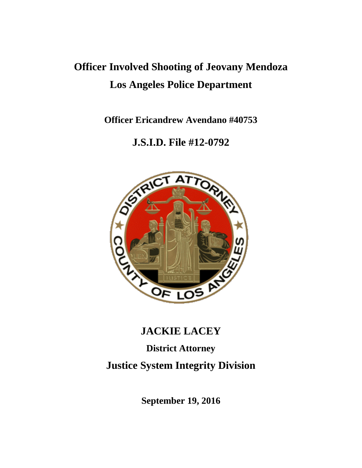# **Officer Involved Shooting of Jeovany Mendoza Los Angeles Police Department**

**Officer Ericandrew Avendano #40753**

# **J.S.I.D. File #12-0792**



# **JACKIE LACEY**

# **District Attorney Justice System Integrity Division**

**September 19, 2016**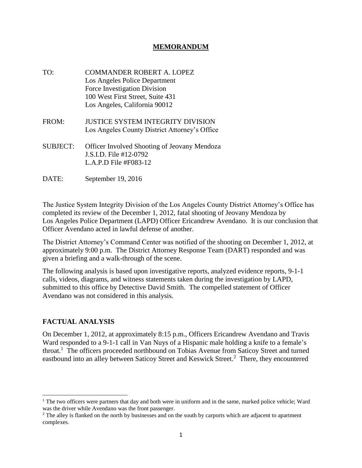## **MEMORANDUM**

- TO: COMMANDER ROBERT A. LOPEZ Los Angeles Police Department Force Investigation Division 100 West First Street, Suite 431 Los Angeles, California 90012
- FROM: JUSTICE SYSTEM INTEGRITY DIVISION Los Angeles County District Attorney's Office
- SUBJECT: Officer Involved Shooting of Jeovany Mendoza J.S.I.D. File #12-0792 L.A.P.D File #F083-12
- DATE: September 19, 2016

The Justice System Integrity Division of the Los Angeles County District Attorney's Office has completed its review of the December 1, 2012, fatal shooting of Jeovany Mendoza by Los Angeles Police Department (LAPD) Officer Ericandrew Avendano. It is our conclusion that Officer Avendano acted in lawful defense of another.

The District Attorney's Command Center was notified of the shooting on December 1, 2012, at approximately 9:00 p.m. The District Attorney Response Team (DART) responded and was given a briefing and a walk-through of the scene.

The following analysis is based upon investigative reports, analyzed evidence reports, 9-1-1 calls, videos, diagrams, and witness statements taken during the investigation by LAPD, submitted to this office by Detective David Smith. The compelled statement of Officer Avendano was not considered in this analysis.

# **FACTUAL ANALYSIS**

 $\overline{\phantom{a}}$ 

On December 1, 2012, at approximately 8:15 p.m., Officers Ericandrew Avendano and Travis Ward responded to a 9-1-1 call in Van Nuys of a Hispanic male holding a knife to a female's throat.<sup>1</sup> The officers proceeded northbound on Tobias Avenue from Saticoy Street and turned eastbound into an alley between Saticoy Street and Keswick Street.<sup>2</sup> There, they encountered

<sup>&</sup>lt;sup>1</sup> The two officers were partners that day and both were in uniform and in the same, marked police vehicle; Ward was the driver while Avendano was the front passenger.

<sup>&</sup>lt;sup>2</sup> The alley is flanked on the north by businesses and on the south by carports which are adjacent to apartment complexes.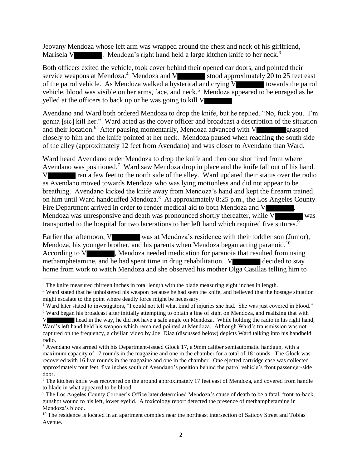Jeovany Mendoza whose left arm was wrapped around the chest and neck of his girlfriend, Marisela V  $\blacksquare$ . Mendoza's right hand held a large kitchen knife to her neck.<sup>3</sup>

Both officers exited the vehicle, took cover behind their opened car doors, and pointed their service weapons at Mendoza.<sup>4</sup> Mendoza and V stood approximately 20 to 25 feet east of the patrol vehicle. As Mendoza walked a hysterical and crying V towards the patrol vehicle, blood was visible on her arms, face, and neck.<sup>5</sup> Mendoza appeared to be enraged as he yelled at the officers to back up or he was going to kill V .

Avendano and Ward both ordered Mendoza to drop the knife, but he replied, "No, fuck you. I'm gonna [sic] kill her." Ward acted as the cover officer and broadcast a description of the situation and their location.<sup>6</sup> After pausing momentarily, Mendoza advanced with V grasped closely to him and the knife pointed at her neck. Mendoza paused when reaching the south side of the alley (approximately 12 feet from Avendano) and was closer to Avendano than Ward.

Ward heard Avendano order Mendoza to drop the knife and then one shot fired from where Avendano was positioned.<sup>7</sup> Ward saw Mendoza drop in place and the knife fall out of his hand. I ran a few feet to the north side of the alley. Ward updated their status over the radio as Avendano moved towards Mendoza who was lying motionless and did not appear to be breathing. Avendano kicked the knife away from Mendoza's hand and kept the firearm trained on him until Ward handcuffed Mendoza.<sup>8</sup> At approximately 8:25 p.m., the Los Angeles County Fire Department arrived in order to render medical aid to both Mendoza and V Mendoza was unresponsive and death was pronounced shortly thereafter, while V was transported to the hospital for two lacerations to her left hand which required five sutures.<sup>9</sup>

Earlier that afternoon, V was at Mendoza's residence with their toddler son (Junior), Mendoza, his younger brother, and his parents when Mendoza began acting paranoid.<sup>10</sup> According to V , Mendoza needed medication for paranoia that resulted from using methamphetamine, and he had spent time in drug rehabilitation. V decided to stay home from work to watch Mendoza and she observed his mother Olga Casillas telling him to

 $\overline{\phantom{a}}$ <sup>3</sup> The knife measured thirteen inches in total length with the blade measuring eight inches in length.

<sup>4</sup> Ward stated that he unholstered his weapon because he had seen the knife, and believed that the hostage situation might escalate to the point where deadly force might be necessary.

<sup>5</sup> Ward later stated to investigators, "I could not tell what kind of injuries she had. She was just covered in blood."

<sup>6</sup> Ward began his broadcast after initially attempting to obtain a line of sight on Mendoza, and realizing that with I head in the way, he did not have a safe angle on Mendoza. While holding the radio in his right hand, Ward's left hand held his weapon which remained pointed at Mendoza. Although Ward's transmission was not captured on the frequency, a civilian video by Joel Diaz (discussed below) depicts Ward talking into his handheld radio.

 $7$  Avendano was armed with his Department-issued Glock 17, a 9mm caliber semiautomatic handgun, with a maximum capacity of 17 rounds in the magazine and one in the chamber for a total of 18 rounds. The Glock was recovered with 16 live rounds in the magazine and one in the chamber. One ejected cartridge case was collected approximately four feet, five inches south of Avendano's position behind the patrol vehicle's front passenger-side door.

<sup>&</sup>lt;sup>8</sup> The kitchen knife was recovered on the ground approximately 17 feet east of Mendoza, and covered from handle to blade in what appeared to be blood.

<sup>9</sup> The Los Angeles County Coroner's Office later determined Mendoza's cause of death to be a fatal, front-to-back, gunshot wound to his left, lower eyelid. A toxicology report detected the presence of methamphetamine in Mendoza's blood.

<sup>&</sup>lt;sup>10</sup> The residence is located in an apartment complex near the northeast intersection of Saticoy Street and Tobias Avenue.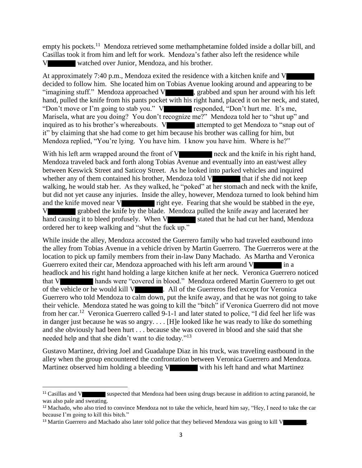empty his pockets.<sup>11</sup> Mendoza retrieved some methamphetamine folded inside a dollar bill, and Casillas took it from him and left for work. Mendoza's father also left the residence while watched over Junior, Mendoza, and his brother.

At approximately 7:40 p.m., Mendoza exited the residence with a kitchen knife and V decided to follow him. She located him on Tobias Avenue looking around and appearing to be "imagining stuff." Mendoza approached V , grabbed and spun her around with his left hand, pulled the knife from his pants pocket with his right hand, placed it on her neck, and stated, "Don't move or I'm going to stab you." V responded, "Don't hurt me. It's me, Marisela, what are you doing? You don't recognize me?" Mendoza told her to "shut up" and inquired as to his brother's whereabouts. V attempted to get Mendoza to "snap out of it" by claiming that she had come to get him because his brother was calling for him, but Mendoza replied, "You're lying. You have him. I know you have him. Where is he?"

With his left arm wrapped around the front of V neck and the knife in his right hand, Mendoza traveled back and forth along Tobias Avenue and eventually into an east/west alley between Keswick Street and Saticoy Street. As he looked into parked vehicles and inquired whether any of them contained his brother, Mendoza told V that if she did not keep walking, he would stab her. As they walked, he "poked" at her stomach and neck with the knife, but did not yet cause any injuries. Inside the alley, however, Mendoza turned to look behind him and the knife moved near  $V$  right eye. Fearing that she would be stabbed in the eye, V grabbed the knife by the blade. Mendoza pulled the knife away and lacerated her hand causing it to bleed profusely. When V stated that he had cut her hand, Mendoza ordered her to keep walking and "shut the fuck up."

While inside the alley, Mendoza accosted the Guerrero family who had traveled eastbound into the alley from Tobias Avenue in a vehicle driven by Martin Guerrero. The Guerreros were at the location to pick up family members from their in-law Dany Machado. As Martha and Veronica Guerrero exited their car, Mendoza approached with his left arm around V in a headlock and his right hand holding a large kitchen knife at her neck. Veronica Guerrero noticed that V hands were "covered in blood." Mendoza ordered Martin Guerrero to get out of the vehicle or he would kill V . All of the Guerreros fled except for Veronica Guerrero who told Mendoza to calm down, put the knife away, and that he was not going to take their vehicle. Mendoza stated he was going to kill the "bitch" if Veronica Guerrero did not move from her car.<sup>12</sup> Veronica Guerrero called 9-1-1 and later stated to police, "I did feel her life was in danger just because he was so angry. . . . [H]e looked like he was ready to like do something and she obviously had been hurt . . . because she was covered in blood and she said that she needed help and that she didn't want to die today."<sup>13</sup>

Gustavo Martinez, driving Joel and Guadalupe Diaz in his truck, was traveling eastbound in the alley when the group encountered the confrontation between Veronica Guerrero and Mendoza. Martinez observed him holding a bleeding V with his left hand and what Martinez

l

<sup>&</sup>lt;sup>11</sup> Casillas and V suspected that Mendoza had been using drugs because in addition to acting paranoid, he was also pale and sweating.

<sup>&</sup>lt;sup>12</sup> Machado, who also tried to convince Mendoza not to take the vehicle, heard him say, "Hey, I need to take the car because I'm going to kill this bitch."

<sup>&</sup>lt;sup>13</sup> Martin Guerrero and Machado also later told police that they believed Mendoza was going to kill V .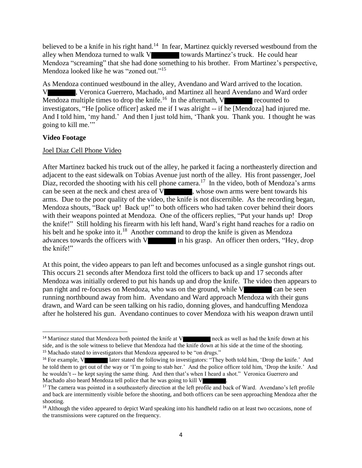believed to be a knife in his right hand.<sup>14</sup> In fear, Martinez quickly reversed westbound from the alley when Mendoza turned to walk V towards Martinez's truck. He could hear Mendoza "screaming" that she had done something to his brother. From Martinez's perspective, Mendoza looked like he was "zoned out."<sup>15</sup>

As Mendoza continued westbound in the alley, Avendano and Ward arrived to the location. , Veronica Guerrero, Machado, and Martinez all heard Avendano and Ward order Mendoza multiple times to drop the knife.<sup>16</sup> In the aftermath, V recounted to investigators, "He [police officer] asked me if I was alright -- if he [Mendoza] had injured me. And I told him, 'my hand.' And then I just told him, 'Thank you. Thank you. I thought he was going to kill me.'"

#### **Video Footage**

 $\overline{a}$ 

## Joel Diaz Cell Phone Video

After Martinez backed his truck out of the alley, he parked it facing a northeasterly direction and adjacent to the east sidewalk on Tobias Avenue just north of the alley. His front passenger, Joel Diaz, recorded the shooting with his cell phone camera.<sup>17</sup> In the video, both of Mendoza's arms can be seen at the neck and chest area of V , whose own arms were bent towards his arms. Due to the poor quality of the video, the knife is not discernible. As the recording began, Mendoza shouts, "Back up! Back up!" to both officers who had taken cover behind their doors with their weapons pointed at Mendoza. One of the officers replies, "Put your hands up! Drop the knife!" Still holding his firearm with his left hand, Ward's right hand reaches for a radio on his belt and he spoke into it.<sup>18</sup> Another command to drop the knife is given as Mendoza advances towards the officers with V in his grasp. An officer then orders, "Hey, drop" the knife!"

At this point, the video appears to pan left and becomes unfocused as a single gunshot rings out. This occurs 21 seconds after Mendoza first told the officers to back up and 17 seconds after Mendoza was initially ordered to put his hands up and drop the knife. The video then appears to pan right and re-focuses on Mendoza, who was on the ground, while V can be seen running northbound away from him. Avendano and Ward approach Mendoza with their guns drawn, and Ward can be seen talking on his radio, donning gloves, and handcuffing Mendoza after he holstered his gun. Avendano continues to cover Mendoza with his weapon drawn until

<sup>&</sup>lt;sup>14</sup> Martinez stated that Mendoza both pointed the knife at V neck as well as had the knife down at his side, and is the sole witness to believe that Mendoza had the knife down at his side at the time of the shooting. <sup>15</sup> Machado stated to investigators that Mendoza appeared to be "on drugs."

<sup>&</sup>lt;sup>16</sup> For example, V later stated the following to investigators: "They both told him, 'Drop the knife.' And he told them to get out of the way or 'I'm going to stab her.' And the police officer told him, 'Drop the knife.' And he wouldn't -- he kept saying the same thing. And then that's when I heard a shot." Veronica Guerrero and Machado also heard Mendoza tell police that he was going to kill V .

<sup>&</sup>lt;sup>17</sup> The camera was pointed in a southeasterly direction at the left profile and back of Ward. Avendano's left profile and back are intermittently visible before the shooting, and both officers can be seen approaching Mendoza after the shooting.

<sup>&</sup>lt;sup>18</sup> Although the video appeared to depict Ward speaking into his handheld radio on at least two occasions, none of the transmissions were captured on the frequency.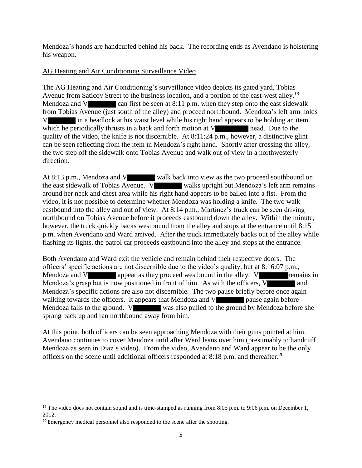Mendoza's hands are handcuffed behind his back. The recording ends as Avendano is holstering his weapon.

# AG Heating and Air Conditioning Surveillance Video

The AG Heating and Air Conditioning's surveillance video depicts its gated yard, Tobias Avenue from Saticoy Street to the business location, and a portion of the east-west alley.<sup>19</sup> Mendoza and V can first be seen at  $8:11$  p.m. when they step onto the east sidewalk from Tobias Avenue (just south of the alley) and proceed northbound. Mendoza's left arm holds V in a headlock at his waist level while his right hand appears to be holding an item which he periodically thrusts in a back and forth motion at V head. Due to the quality of the video, the knife is not discernible. At 8:11:24 p.m., however, a distinctive glint can be seen reflecting from the item in Mendoza's right hand. Shortly after crossing the alley, the two step off the sidewalk onto Tobias Avenue and walk out of view in a northwesterly direction.

At 8:13 p.m., Mendoza and V walk back into view as the two proceed southbound on the east sidewalk of Tobias Avenue. V walks upright but Mendoza's left arm remains around her neck and chest area while his right hand appears to be balled into a fist. From the video, it is not possible to determine whether Mendoza was holding a knife. The two walk eastbound into the alley and out of view. At 8:14 p.m., Martinez's truck can be seen driving northbound on Tobias Avenue before it proceeds eastbound down the alley. Within the minute, however, the truck quickly backs westbound from the alley and stops at the entrance until 8:15 p.m. when Avendano and Ward arrived. After the truck immediately backs out of the alley while flashing its lights, the patrol car proceeds eastbound into the alley and stops at the entrance.

Both Avendano and Ward exit the vehicle and remain behind their respective doors. The officers' specific actions are not discernible due to the video's quality, but at 8:16:07 p.m., Mendoza and V appear as they proceed westbound in the alley. V remains in Mendoza's grasp but is now positioned in front of him. As with the officers,  $V$  and Mendoza's specific actions are also not discernible. The two pause briefly before once again walking towards the officers. It appears that Mendoza and V pause again before Mendoza falls to the ground. V was also pulled to the ground by Mendoza before she sprang back up and ran northbound away from him.

At this point, both officers can be seen approaching Mendoza with their guns pointed at him. Avendano continues to cover Mendoza until after Ward leans over him (presumably to handcuff Mendoza as seen in Diaz's video). From the video, Avendano and Ward appear to be the only officers on the scene until additional officers responded at  $8:18$  p.m. and thereafter.<sup>20</sup>

 $\overline{\phantom{a}}$ 

<sup>&</sup>lt;sup>19</sup> The video does not contain sound and is time-stamped as running from 8:05 p.m. to 9:06 p.m. on December 1, 2012.

<sup>&</sup>lt;sup>20</sup> Emergency medical personnel also responded to the scene after the shooting.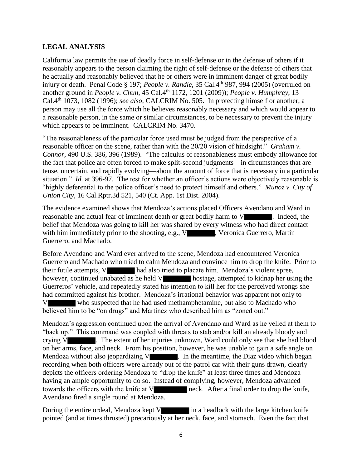## **LEGAL ANALYSIS**

California law permits the use of deadly force in self-defense or in the defense of others if it reasonably appears to the person claiming the right of self-defense or the defense of others that he actually and reasonably believed that he or others were in imminent danger of great bodily injury or death. Penal Code § 197; *People v. Randle*, 35 Cal.4<sup>th</sup> 987, 994 (2005) (overruled on another ground in *People v. Chun*, 45 Cal.4<sup>th</sup> 1172, 1201 (2009)); *People v. Humphrey*, 13 Cal.4th 1073, 1082 (1996); *see also*, CALCRIM No. 505. In protecting himself or another, a person may use all the force which he believes reasonably necessary and which would appear to a reasonable person, in the same or similar circumstances, to be necessary to prevent the injury which appears to be imminent. CALCRIM No. 3470.

"The reasonableness of the particular force used must be judged from the perspective of a reasonable officer on the scene, rather than with the 20/20 vision of hindsight." *Graham v. Connor,* 490 U.S. 386, 396 (1989). "The calculus of reasonableness must embody allowance for the fact that police are often forced to make split-second judgments—in circumstances that are tense, uncertain, and rapidly evolving—about the amount of force that is necessary in a particular situation." *Id.* at 396-97. The test for whether an officer's actions were objectively reasonable is "highly deferential to the police officer's need to protect himself and others." *Munoz v. City of Union City*, 16 Cal.Rptr.3d 521, 540 (Ct. App. 1st Dist. 2004).

The evidence examined shows that Mendoza's actions placed Officers Avendano and Ward in reasonable and actual fear of imminent death or great bodily harm to V . Indeed, the belief that Mendoza was going to kill her was shared by every witness who had direct contact with him immediately prior to the shooting, e.g.,  $V$ , Veronica Guerrero, Martin Guerrero, and Machado.

Before Avendano and Ward ever arrived to the scene, Mendoza had encountered Veronica Guerrero and Machado who tried to calm Mendoza and convince him to drop the knife. Prior to their futile attempts, V had also tried to placate him. Mendoza's violent spree, however, continued unabated as he held V hostage, attempted to kidnap her using the Guerreros' vehicle, and repeatedly stated his intention to kill her for the perceived wrongs she had committed against his brother. Mendoza's irrational behavior was apparent not only to V who suspected that he had used methamphetamine, but also to Machado who believed him to be "on drugs" and Martinez who described him as "zoned out."

Mendoza's aggression continued upon the arrival of Avendano and Ward as he yelled at them to "back up." This command was coupled with threats to stab and/or kill an already bloody and crying V . The extent of her injuries unknown, Ward could only see that she had blood on her arms, face, and neck. From his position, however, he was unable to gain a safe angle on Mendoza without also jeopardizing  $V$  . In the meantime, the Diaz video which began recording when both officers were already out of the patrol car with their guns drawn, clearly depicts the officers ordering Mendoza to "drop the knife" at least three times and Mendoza having an ample opportunity to do so. Instead of complying, however, Mendoza advanced towards the officers with the knife at V neck. After a final order to drop the knife, Avendano fired a single round at Mendoza.

During the entire ordeal, Mendoza kept  $V$  in a headlock with the large kitchen knife pointed (and at times thrusted) precariously at her neck, face, and stomach. Even the fact that